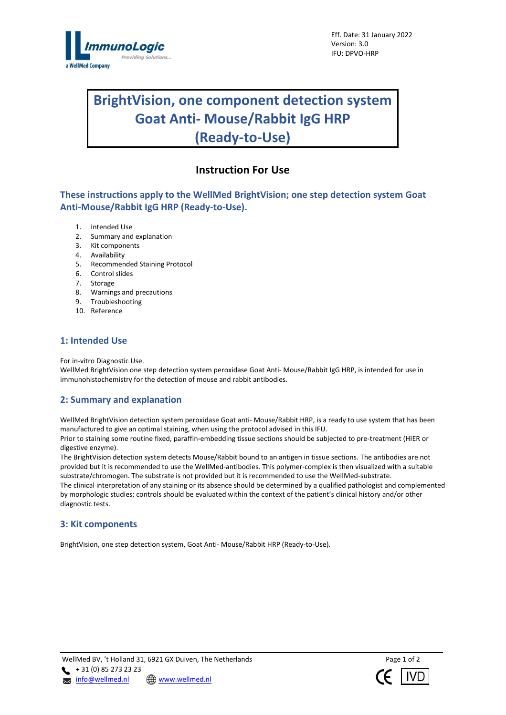

# **BrightVision, one component detection system Goat Anti- Mouse/Rabbit IgG HRP (Ready-to-Use)**

## **Instruction For Use**

**These instructions apply to the WellMed BrightVision; one step detection system Goat Anti-Mouse/Rabbit IgG HRP (Ready-to-Use).**

- 1. Intended Use
- 2. Summary and explanation
- 3. Kit components
- 4. Availability
- 5. Recommended Staining Protocol
- 6. Control slides
- 7. Storage
- 8. Warnings and precautions
- 9. Troubleshooting
- 10. Reference

## **1: Intended Use**

For in-vitro Diagnostic Use.

WellMed BrightVision one step detection system peroxidase Goat Anti- Mouse/Rabbit IgG HRP, is intended for use in immunohistochemistry for the detection of mouse and rabbit antibodies.

## **2: Summary and explanation**

WellMed BrightVision detection system peroxidase Goat anti- Mouse/Rabbit HRP, is a ready to use system that has been manufactured to give an optimal staining, when using the protocol advised in this IFU.

Prior to staining some routine fixed, paraffin-embedding tissue sections should be subjected to pre-treatment (HIER or digestive enzyme).

The BrightVision detection system detects Mouse/Rabbit bound to an antigen in tissue sections. The antibodies are not provided but it is recommended to use the WellMed-antibodies. This polymer-complex is then visualized with a suitable substrate/chromogen. The substrate is not provided but it is recommended to use the WellMed-substrate. The clinical interpretation of any staining or its absence should be determined by a qualified pathologist and complemented by morphologic studies; controls should be evaluated within the context of the patient's clinical history and/or other diagnostic tests.

## **3: Kit components**

BrightVision, one step detection system, Goat Anti- Mouse/Rabbit HRP (Ready-to-Use).